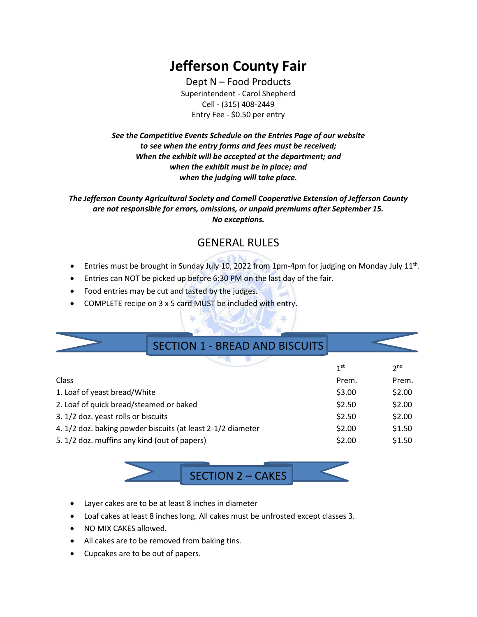## **Jefferson County Fair**

Dept N – Food Products Superintendent - Carol Shepherd Cell - (315) 408-2449 Entry Fee - \$0.50 per entry

*See the Competitive Events Schedule on the Entries Page of our website to see when the entry forms and fees must be received; When the exhibit will be accepted at the department; and when the exhibit must be in place; and when the judging will take place.*

*The Jefferson County Agricultural Society and Cornell Cooperative Extension of Jefferson County are not responsible for errors, omissions, or unpaid premiums after September 15. No exceptions.*

## GENERAL RULES

- Entries must be brought in Sunday July 10, 2022 from 1pm-4pm for judging on Monday July 11<sup>th</sup>.
- Entries can NOT be picked up before 6:30 PM on the last day of the fair.
- Food entries may be cut and tasted by the judges.
- COMPLETE recipe on 3 x 5 card MUST be included with entry.

|                                              | <b>SECTION 1 - BREAD AND BISCUITS</b>                       |                 |                 |
|----------------------------------------------|-------------------------------------------------------------|-----------------|-----------------|
|                                              |                                                             | 1 <sup>st</sup> | 2 <sup>nd</sup> |
| Class                                        |                                                             | Prem.           | Prem.           |
| 1. Loaf of yeast bread/White                 |                                                             | \$3.00          | \$2.00          |
| 2. Loaf of quick bread/steamed or baked      |                                                             | \$2.50          | \$2.00          |
| 3. 1/2 doz. yeast rolls or biscuits          |                                                             | \$2.50          | \$2.00          |
|                                              | 4. 1/2 doz. baking powder biscuits (at least 2-1/2 diameter | \$2.00          | \$1.50          |
| 5. 1/2 doz. muffins any kind (out of papers) |                                                             | \$2.00          | \$1.50          |

 $*$  /  $\cos \omega$ 



- Layer cakes are to be at least 8 inches in diameter
- Loaf cakes at least 8 inches long. All cakes must be unfrosted except classes 3.
- NO MIX CAKES allowed.
- All cakes are to be removed from baking tins.
- Cupcakes are to be out of papers.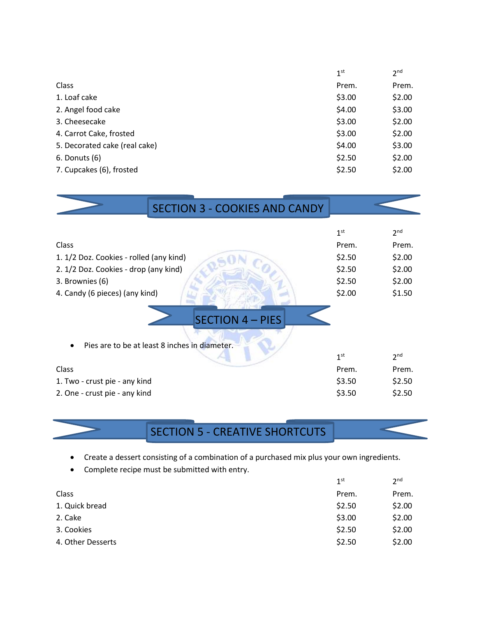|                               | 1 <sup>st</sup> | 2 <sub>nd</sub> |
|-------------------------------|-----------------|-----------------|
| Class                         | Prem.           | Prem.           |
| 1. Loaf cake                  | \$3.00          | \$2.00          |
| 2. Angel food cake            | \$4.00          | \$3.00          |
| 3. Cheesecake                 | \$3.00          | \$2.00          |
| 4. Carrot Cake, frosted       | \$3.00          | \$2.00          |
| 5. Decorated cake (real cake) | \$4.00          | \$3.00          |
| 6. Donuts (6)                 | \$2.50          | \$2.00          |
| 7. Cupcakes (6), frosted      | \$2.50          | \$2.00          |

|                                                                                                                                                | <b>SECTION 3 - COOKIES AND CANDY</b>                                     |                                                                  |                                                                  |
|------------------------------------------------------------------------------------------------------------------------------------------------|--------------------------------------------------------------------------|------------------------------------------------------------------|------------------------------------------------------------------|
| Class<br>1. 1/2 Doz. Cookies - rolled (any kind)<br>2. 1/2 Doz. Cookies - drop (any kind)<br>3. Brownies (6)<br>4. Candy (6 pieces) (any kind) |                                                                          | 1 <sup>st</sup><br>Prem.<br>\$2.50<br>\$2.50<br>\$2.50<br>\$2.00 | 2 <sup>nd</sup><br>Prem.<br>\$2.00<br>\$2.00<br>\$2.00<br>\$1.50 |
|                                                                                                                                                | <b>SECTION 4 - PIES</b><br>Pies are to be at least 8 inches in diameter. |                                                                  |                                                                  |
|                                                                                                                                                |                                                                          | 1 <sup>st</sup>                                                  | 2 <sup>nd</sup>                                                  |
| Class                                                                                                                                          |                                                                          | Prem.                                                            | Prem.                                                            |
| 1. Two - crust pie - any kind                                                                                                                  |                                                                          | \$3.50                                                           | \$2.50                                                           |
| 2. One - crust pie - any kind                                                                                                                  |                                                                          | \$3.50                                                           | \$2.50                                                           |



• Create a dessert consisting of a combination of a purchased mix plus your own ingredients.

• Complete recipe must be submitted with entry.

|                   | 1 <sup>st</sup> | 2 <sub>nd</sub> |
|-------------------|-----------------|-----------------|
| Class             | Prem.           | Prem.           |
| 1. Quick bread    | \$2.50          | \$2.00          |
| 2. Cake           | \$3.00          | \$2.00          |
| 3. Cookies        | \$2.50          | \$2.00          |
| 4. Other Desserts | \$2.50          | \$2.00          |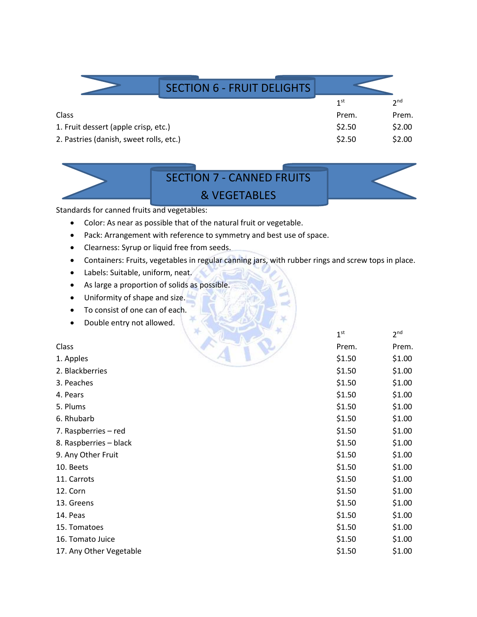|                                         | <b>SECTION 6 - FRUIT DELIGHTS</b> |        |                 |
|-----------------------------------------|-----------------------------------|--------|-----------------|
|                                         |                                   | 1st    | 2 <sub>nd</sub> |
| Class                                   |                                   | Prem.  | Prem.           |
| 1. Fruit dessert (apple crisp, etc.)    |                                   | \$2.50 | \$2.00          |
| 2. Pastries (danish, sweet rolls, etc.) |                                   | \$2.50 | \$2.00          |

## SECTION 7 - CANNED FRUITS & VEGETABLES

Standards for canned fruits and vegetables:

- Color: As near as possible that of the natural fruit or vegetable.
- Pack: Arrangement with reference to symmetry and best use of space.
- Clearness: Syrup or liquid free from seeds.
- Containers: Fruits, vegetables in regular canning jars, with rubber rings and screw tops in place.

*ingless* шć

- Labels: Suitable, uniform, neat.
- As large a proportion of solids as possible.
- Uniformity of shape and size.
- To consist of one can of each.
- Double entry not allowed.

|                         | 1 <sup>st</sup> | 2 <sup>nd</sup> |
|-------------------------|-----------------|-----------------|
| Class                   | Prem.           | Prem.           |
| 1. Apples               | \$1.50          | \$1.00          |
| 2. Blackberries         | \$1.50          | \$1.00          |
| 3. Peaches              | \$1.50          | \$1.00          |
| 4. Pears                | \$1.50          | \$1.00          |
| 5. Plums                | \$1.50          | \$1.00          |
| 6. Rhubarb              | \$1.50          | \$1.00          |
| 7. Raspberries - red    | \$1.50          | \$1.00          |
| 8. Raspberries - black  | \$1.50          | \$1.00          |
| 9. Any Other Fruit      | \$1.50          | \$1.00          |
| 10. Beets               | \$1.50          | \$1.00          |
| 11. Carrots             | \$1.50          | \$1.00          |
| 12. Corn                | \$1.50          | \$1.00          |
| 13. Greens              | \$1.50          | \$1.00          |
| 14. Peas                | \$1.50          | \$1.00          |
| 15. Tomatoes            | \$1.50          | \$1.00          |
| 16. Tomato Juice        | \$1.50          | \$1.00          |
| 17. Any Other Vegetable | \$1.50          | \$1.00          |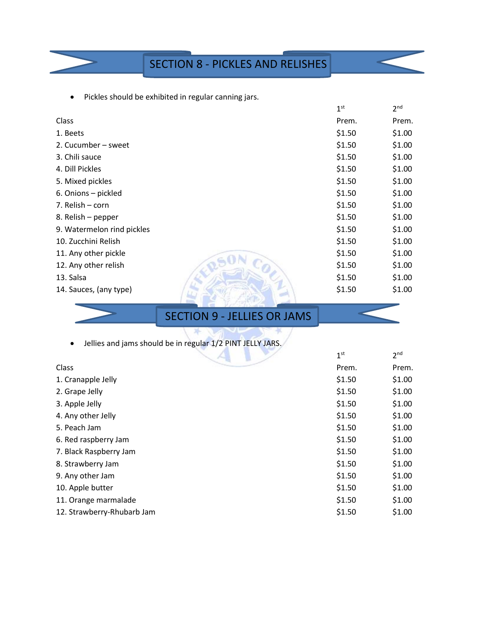## SECTION 8 - PICKLES AND RELISHES

• Pickles should be exhibited in regular canning jars.

|                            | 1 <sup>st</sup> | 2 <sup>nd</sup> |
|----------------------------|-----------------|-----------------|
| Class                      | Prem.           | Prem.           |
| 1. Beets                   | \$1.50          | \$1.00          |
| 2. Cucumber - sweet        | \$1.50          | \$1.00          |
| 3. Chili sauce             | \$1.50          | \$1.00          |
| 4. Dill Pickles            | \$1.50          | \$1.00          |
| 5. Mixed pickles           | \$1.50          | \$1.00          |
| 6. Onions - pickled        | \$1.50          | \$1.00          |
| 7. Relish - corn           | \$1.50          | \$1.00          |
| 8. Relish - pepper         | \$1.50          | \$1.00          |
| 9. Watermelon rind pickles | \$1.50          | \$1.00          |
| 10. Zucchini Relish        | \$1.50          | \$1.00          |
| 11. Any other pickle       | \$1.50          | \$1.00          |
| 12. Any other relish       | \$1.50          | \$1.00          |
| 13. Salsa                  | \$1.50          | \$1.00          |
| 14. Sauces, (any type)     | \$1.50          | \$1.00          |
|                            |                 |                 |

pangan sa

|                            | <b>SECTION 9 - JELLIES OR JAMS</b>                         |                 |                 |
|----------------------------|------------------------------------------------------------|-----------------|-----------------|
|                            | Jellies and jams should be in regular 1/2 PINT JELLY JARS. |                 |                 |
|                            |                                                            | 1 <sup>st</sup> | 2 <sup>nd</sup> |
| Class                      |                                                            | Prem.           | Prem.           |
| 1. Cranapple Jelly         |                                                            | \$1.50          | \$1.00          |
| 2. Grape Jelly             |                                                            | \$1.50          | \$1.00          |
| 3. Apple Jelly             |                                                            | \$1.50          | \$1.00          |
| 4. Any other Jelly         |                                                            | \$1.50          | \$1.00          |
| 5. Peach Jam               |                                                            | \$1.50          | \$1.00          |
| 6. Red raspberry Jam       |                                                            | \$1.50          | \$1.00          |
| 7. Black Raspberry Jam     |                                                            | \$1.50          | \$1.00          |
| 8. Strawberry Jam          |                                                            | \$1.50          | \$1.00          |
| 9. Any other Jam           |                                                            | \$1.50          | \$1.00          |
| 10. Apple butter           |                                                            | \$1.50          | \$1.00          |
| 11. Orange marmalade       |                                                            | \$1.50          | \$1.00          |
| 12. Strawberry-Rhubarb Jam |                                                            | \$1.50          | \$1.00          |
|                            |                                                            |                 |                 |